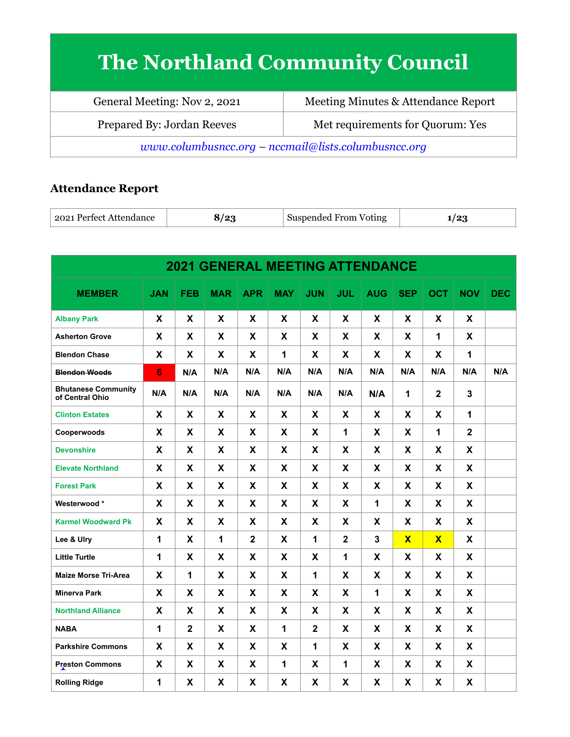# **The Northland Community Council**

| General Meeting: Nov 2, 2021                          | Meeting Minutes & Attendance Report |  |  |  |  |  |
|-------------------------------------------------------|-------------------------------------|--|--|--|--|--|
| Prepared By: Jordan Reeves                            | Met requirements for Quorum: Yes    |  |  |  |  |  |
| $www.columbusncc.org - nccmail@lists.columbusncc.org$ |                                     |  |  |  |  |  |

# **Attendance Report**

| ⊦ 2021 Perfect Attendance  <br>، و ا<br>Suspended From<br>Voting<br>. . |  |
|-------------------------------------------------------------------------|--|
|-------------------------------------------------------------------------|--|

| <b>2021 GENERAL MEETING ATTENDANCE</b>        |                |                |             |              |            |                |                |            |                         |                         |                |            |
|-----------------------------------------------|----------------|----------------|-------------|--------------|------------|----------------|----------------|------------|-------------------------|-------------------------|----------------|------------|
| <b>MEMBER</b>                                 | <b>JAN</b>     | <b>FEB</b>     | <b>MAR</b>  | <b>APR</b>   | <b>MAY</b> | <b>JUN</b>     | <b>JUL</b>     | <b>AUG</b> | <b>SEP</b>              | <b>OCT</b>              | <b>NOV</b>     | <b>DEC</b> |
| <b>Albany Park</b>                            | X              | X              | X           | X            | X          | X              | X              | X          | X                       | X                       | X              |            |
| <b>Asherton Grove</b>                         | X              | X              | X           | X            | X          | X              | X              | X          | X                       | 1                       | X              |            |
| <b>Blendon Chase</b>                          | X              | X              | X           | X            | 1          | X              | X              | X          | X                       | X                       | 1              |            |
| <b>Blendon Woods</b>                          | $6\phantom{1}$ | N/A            | N/A         | N/A          | N/A        | N/A            | N/A            | N/A        | N/A                     | N/A                     | N/A            | N/A        |
| <b>Bhutanese Community</b><br>of Central Ohio | N/A            | N/A            | N/A         | N/A          | N/A        | N/A            | N/A            | N/A        | $\mathbf{1}$            | $\mathbf 2$             | 3              |            |
| <b>Clinton Estates</b>                        | X              | X              | X           | X            | X          | X              | X              | X          | X                       | X                       | 1              |            |
| Cooperwoods                                   | X              | X              | X           | X            | X          | X              | $\mathbf{1}$   | X          | X                       | 1                       | $\overline{2}$ |            |
| <b>Devonshire</b>                             | X              | X              | X           | X            | X          | X              | X              | X          | X                       | X                       | X              |            |
| <b>Elevate Northland</b>                      | X              | X              | X           | X            | X          | X              | X              | X          | X                       | X                       | X              |            |
| <b>Forest Park</b>                            | X              | X              | X           | X            | X          | X              | X              | X          | X                       | X                       | X              |            |
| Westerwood*                                   | X              | X              | X           | X            | X          | X              | X              | 1          | X                       | X                       | X              |            |
| <b>Karmel Woodward Pk</b>                     | X              | X              | X           | X            | X          | X              | X              | X          | X                       | X                       | X              |            |
| Lee & Ulry                                    | $\mathbf 1$    | X              | $\mathbf 1$ | $\mathbf{2}$ | X          | 1              | $\overline{2}$ | 3          | $\overline{\mathbf{X}}$ | $\overline{\mathbf{X}}$ | X              |            |
| <b>Little Turtle</b>                          | 1              | X              | X           | X            | X          | X              | $\mathbf{1}$   | X          | X                       | X                       | X              |            |
| <b>Maize Morse Tri-Area</b>                   | X              | $\mathbf 1$    | X           | X            | X          | 1              | X              | X          | X                       | X                       | X              |            |
| <b>Minerva Park</b>                           | X              | X              | X           | X            | X          | X              | X              | 1          | X                       | X                       | X              |            |
| <b>Northland Alliance</b>                     | X              | X              | X           | X            | X          | X              | X              | X          | X                       | X                       | X              |            |
| <b>NABA</b>                                   | 1              | $\overline{2}$ | X           | X            | 1          | $\overline{2}$ | X              | X          | X                       | X                       | X              |            |
| <b>Parkshire Commons</b>                      | X              | X              | X           | X            | X          | 1              | X              | X          | X                       | X                       | $\mathbf{x}$   |            |
| <b>Preston Commons</b>                        | X              | X              | X           | X            | 1          | X              | $\mathbf{1}$   | X          | X                       | X                       | X              |            |
| <b>Rolling Ridge</b>                          | 1              | X              | X           | X            | X          | X              | X              | X          | X                       | X                       | X              |            |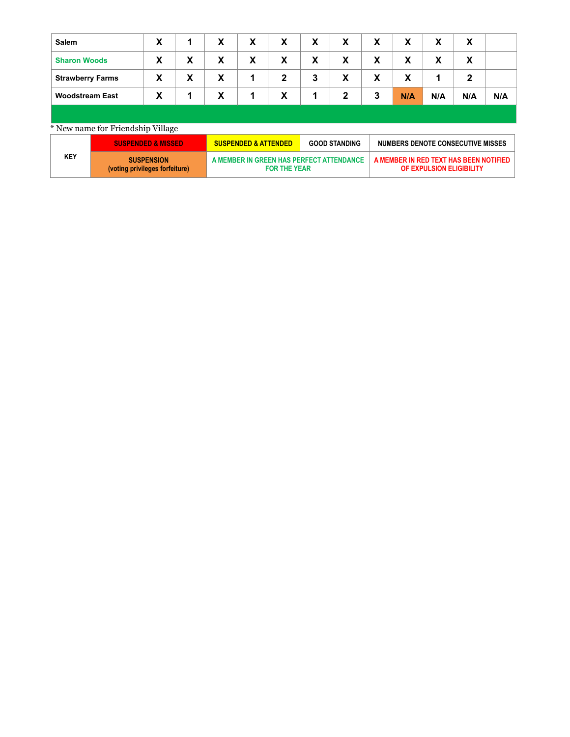| Salem                   | X |   | X | X | X                | X | X            | X | X   | X   | X            |     |
|-------------------------|---|---|---|---|------------------|---|--------------|---|-----|-----|--------------|-----|
| <b>Sharon Woods</b>     | X | X | X | X | X                | X | X            | X | X   | X   | X            |     |
| <b>Strawberry Farms</b> | X | X | X | 1 | $\boldsymbol{2}$ | 3 | X            | X | X   |     | $\mathbf{2}$ |     |
| <b>Woodstream East</b>  | X |   | X | 1 | X                | 1 | $\mathbf{2}$ | 3 | N/A | N/A | N/A          | N/A |
|                         |   |   |   |   |                  |   |              |   |     |     |              |     |

### \* New name for Friendship Village

|     | <b>SUSPENDED &amp; MISSED</b>                       | <b>SUSPENDED &amp; ATTENDED</b>                                 | <b>GOOD STANDING</b> | NUMBERS DENOTE CONSECUTIVE MISSES                                  |
|-----|-----------------------------------------------------|-----------------------------------------------------------------|----------------------|--------------------------------------------------------------------|
| KEY | <b>SUSPENSION</b><br>(voting privileges forfeiture) | A MEMBER IN GREEN HAS PERFECT ATTENDANCE<br><b>FOR THE YEAR</b> |                      | A MEMBER IN RED TEXT HAS BEEN NOTIFIED<br>OF EXPULSION ELIGIBILITY |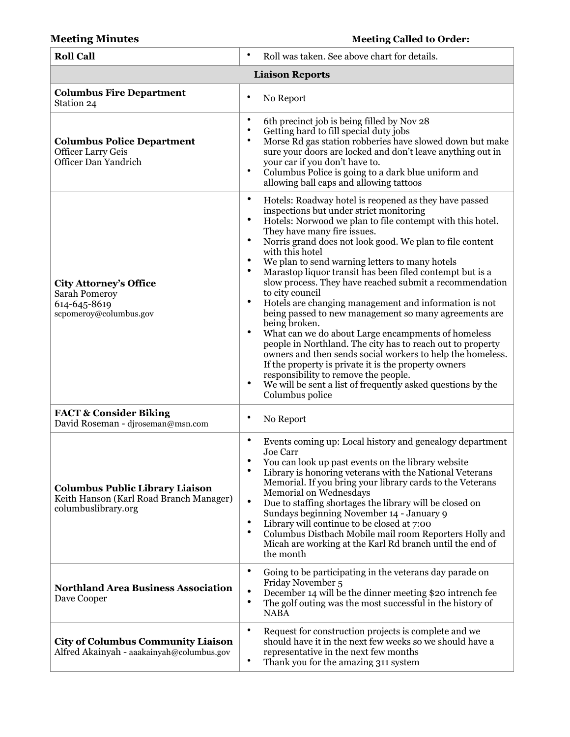# **Meeting Minutes Meeting Called to Order:**

| <b>Roll Call</b>                                                                                         | ٠<br>Roll was taken. See above chart for details.                                                                                                                                                                                                                                                                                                                                                                                                                                                                                                                                                                                                                                                                                                                                                                                                                                                                                                                                                                                                                              |  |  |  |  |  |  |  |
|----------------------------------------------------------------------------------------------------------|--------------------------------------------------------------------------------------------------------------------------------------------------------------------------------------------------------------------------------------------------------------------------------------------------------------------------------------------------------------------------------------------------------------------------------------------------------------------------------------------------------------------------------------------------------------------------------------------------------------------------------------------------------------------------------------------------------------------------------------------------------------------------------------------------------------------------------------------------------------------------------------------------------------------------------------------------------------------------------------------------------------------------------------------------------------------------------|--|--|--|--|--|--|--|
| <b>Liaison Reports</b>                                                                                   |                                                                                                                                                                                                                                                                                                                                                                                                                                                                                                                                                                                                                                                                                                                                                                                                                                                                                                                                                                                                                                                                                |  |  |  |  |  |  |  |
| <b>Columbus Fire Department</b><br>Station 24                                                            | ٠<br>No Report                                                                                                                                                                                                                                                                                                                                                                                                                                                                                                                                                                                                                                                                                                                                                                                                                                                                                                                                                                                                                                                                 |  |  |  |  |  |  |  |
| <b>Columbus Police Department</b><br><b>Officer Larry Geis</b><br>Officer Dan Yandrich                   | $\bullet$<br>6th precinct job is being filled by Nov 28<br>٠<br>Getting hard to fill special duty jobs<br>$\bullet$<br>Morse Rd gas station robberies have slowed down but make<br>sure your doors are locked and don't leave anything out in<br>your car if you don't have to.<br>$\bullet$<br>Columbus Police is going to a dark blue uniform and<br>allowing ball caps and allowing tattoos                                                                                                                                                                                                                                                                                                                                                                                                                                                                                                                                                                                                                                                                                 |  |  |  |  |  |  |  |
| <b>City Attorney's Office</b><br><b>Sarah Pomeroy</b><br>614-645-8619<br>scpomeroy@columbus.gov          | $\bullet$<br>Hotels: Roadway hotel is reopened as they have passed<br>inspections but under strict monitoring<br>$\bullet$<br>Hotels: Norwood we plan to file contempt with this hotel.<br>They have many fire issues.<br>$\bullet$<br>Norris grand does not look good. We plan to file content<br>with this hotel<br>$\bullet$<br>We plan to send warning letters to many hotels<br>$\bullet$<br>Marastop liquor transit has been filed contempt but is a<br>slow process. They have reached submit a recommendation<br>to city council<br>$\bullet$<br>Hotels are changing management and information is not<br>being passed to new management so many agreements are<br>being broken.<br>$\bullet$<br>What can we do about Large encampments of homeless<br>people in Northland. The city has to reach out to property<br>owners and then sends social workers to help the homeless.<br>If the property is private it is the property owners<br>responsibility to remove the people.<br>We will be sent a list of frequently asked questions by the<br>٠<br>Columbus police |  |  |  |  |  |  |  |
| <b>FACT &amp; Consider Biking</b><br>David Roseman - djroseman@msn.com                                   | ٠<br>No Report                                                                                                                                                                                                                                                                                                                                                                                                                                                                                                                                                                                                                                                                                                                                                                                                                                                                                                                                                                                                                                                                 |  |  |  |  |  |  |  |
| <b>Columbus Public Library Liaison</b><br>Keith Hanson (Karl Road Branch Manager)<br>columbuslibrary.org | $\bullet$<br>Events coming up: Local history and genealogy department<br>Joe Carr<br>You can look up past events on the library website<br>$\bullet$<br>Library is honoring veterans with the National Veterans<br>Memorial. If you bring your library cards to the Veterans<br>Memorial on Wednesdays<br>$\bullet$<br>Due to staffing shortages the library will be closed on<br>Sundays beginning November 14 - January 9<br>$\bullet$<br>Library will continue to be closed at 7:00<br>$\bullet$<br>Columbus Distbach Mobile mail room Reporters Holly and<br>Micah are working at the Karl Rd branch until the end of<br>the month                                                                                                                                                                                                                                                                                                                                                                                                                                         |  |  |  |  |  |  |  |
| <b>Northland Area Business Association</b><br>Dave Cooper                                                | ٠<br>Going to be participating in the veterans day parade on<br>Friday November 5<br>$\bullet$<br>December 14 will be the dinner meeting \$20 intrench fee<br>$\bullet$<br>The golf outing was the most successful in the history of<br><b>NABA</b>                                                                                                                                                                                                                                                                                                                                                                                                                                                                                                                                                                                                                                                                                                                                                                                                                            |  |  |  |  |  |  |  |
| <b>City of Columbus Community Liaison</b><br>Alfred Akainyah - aaakainyah@columbus.gov                   | ٠<br>Request for construction projects is complete and we<br>should have it in the next few weeks so we should have a<br>representative in the next few months<br>$\bullet$<br>Thank you for the amazing 311 system                                                                                                                                                                                                                                                                                                                                                                                                                                                                                                                                                                                                                                                                                                                                                                                                                                                            |  |  |  |  |  |  |  |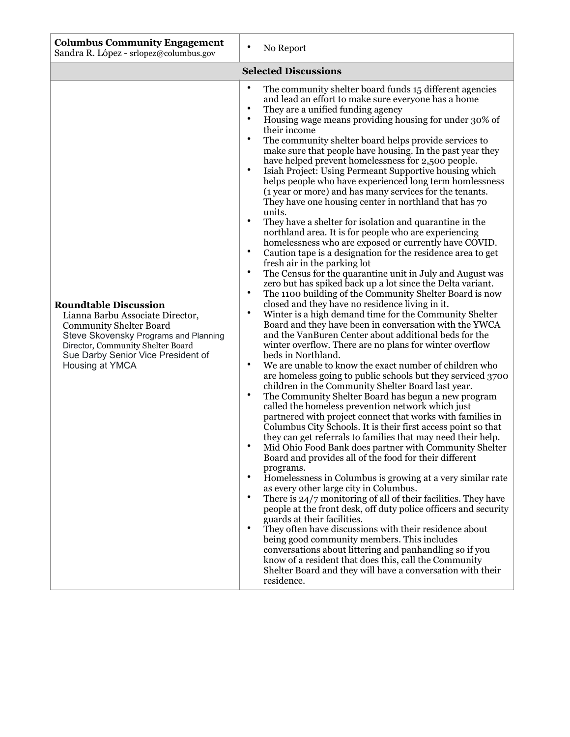| <b>Columbus Community Engagement</b><br>Sandra R. López - srlopez@columbus.gov                                                                                                                                                            | $\bullet$<br>No Report                                                                                                                                                                                                                                                                                                                                                                                                                                                                                                                                                                                                                                                                                                                                                                                                                                                                                                                                                                                                                                                                                                                                                                                                                                                                                                                                                                                                                                                                                                                                                                                                                                                                                                                                                                                                                                                                                                                                                                                                                                                                                                                                                                                                                                                                                                                                                                                                                                                                                                                                                                                                                                                                                                                                                                                                                                    |
|-------------------------------------------------------------------------------------------------------------------------------------------------------------------------------------------------------------------------------------------|-----------------------------------------------------------------------------------------------------------------------------------------------------------------------------------------------------------------------------------------------------------------------------------------------------------------------------------------------------------------------------------------------------------------------------------------------------------------------------------------------------------------------------------------------------------------------------------------------------------------------------------------------------------------------------------------------------------------------------------------------------------------------------------------------------------------------------------------------------------------------------------------------------------------------------------------------------------------------------------------------------------------------------------------------------------------------------------------------------------------------------------------------------------------------------------------------------------------------------------------------------------------------------------------------------------------------------------------------------------------------------------------------------------------------------------------------------------------------------------------------------------------------------------------------------------------------------------------------------------------------------------------------------------------------------------------------------------------------------------------------------------------------------------------------------------------------------------------------------------------------------------------------------------------------------------------------------------------------------------------------------------------------------------------------------------------------------------------------------------------------------------------------------------------------------------------------------------------------------------------------------------------------------------------------------------------------------------------------------------------------------------------------------------------------------------------------------------------------------------------------------------------------------------------------------------------------------------------------------------------------------------------------------------------------------------------------------------------------------------------------------------------------------------------------------------------------------------------------------------|
|                                                                                                                                                                                                                                           | <b>Selected Discussions</b>                                                                                                                                                                                                                                                                                                                                                                                                                                                                                                                                                                                                                                                                                                                                                                                                                                                                                                                                                                                                                                                                                                                                                                                                                                                                                                                                                                                                                                                                                                                                                                                                                                                                                                                                                                                                                                                                                                                                                                                                                                                                                                                                                                                                                                                                                                                                                                                                                                                                                                                                                                                                                                                                                                                                                                                                                               |
| <b>Roundtable Discussion</b><br>Lianna Barbu Associate Director,<br><b>Community Shelter Board</b><br>Steve Skovensky Programs and Planning<br>Director, Community Shelter Board<br>Sue Darby Senior Vice President of<br>Housing at YMCA | $\bullet$<br>The community shelter board funds 15 different agencies<br>and lead an effort to make sure everyone has a home<br>$\bullet$<br>They are a unified funding agency<br>$\bullet$<br>Housing wage means providing housing for under 30% of<br>their income<br>$\bullet$<br>The community shelter board helps provide services to<br>make sure that people have housing. In the past year they<br>have helped prevent homelessness for 2,500 people.<br>$\bullet$<br>Isiah Project: Using Permeant Supportive housing which<br>helps people who have experienced long term homlessness<br>(1 year or more) and has many services for the tenants.<br>They have one housing center in northland that has 70<br>units.<br>$\bullet$<br>They have a shelter for isolation and quarantine in the<br>northland area. It is for people who are experiencing<br>homelessness who are exposed or currently have COVID.<br>$\bullet$<br>Caution tape is a designation for the residence area to get<br>fresh air in the parking lot<br>$\bullet$<br>The Census for the quarantine unit in July and August was<br>zero but has spiked back up a lot since the Delta variant.<br>$\bullet$<br>The 1100 building of the Community Shelter Board is now<br>closed and they have no residence living in it.<br>$\bullet$<br>Winter is a high demand time for the Community Shelter<br>Board and they have been in conversation with the YWCA<br>and the VanBuren Center about additional beds for the<br>winter overflow. There are no plans for winter overflow<br>beds in Northland.<br>$\bullet$<br>We are unable to know the exact number of children who<br>are homeless going to public schools but they serviced 3700<br>children in the Community Shelter Board last year.<br>$\bullet$<br>The Community Shelter Board has begun a new program<br>called the homeless prevention network which just<br>partnered with project connect that works with families in<br>Columbus City Schools. It is their first access point so that<br>they can get referrals to families that may need their help.<br>Mid Ohio Food Bank does partner with Community Shelter<br>Board and provides all of the food for their different<br>programs.<br>$\bullet$<br>Homelessness in Columbus is growing at a very similar rate<br>as every other large city in Columbus.<br>There is 24/7 monitoring of all of their facilities. They have<br>$\bullet$<br>people at the front desk, off duty police officers and security<br>guards at their facilities.<br>They often have discussions with their residence about<br>٠<br>being good community members. This includes<br>conversations about littering and panhandling so if you<br>know of a resident that does this, call the Community<br>Shelter Board and they will have a conversation with their<br>residence. |